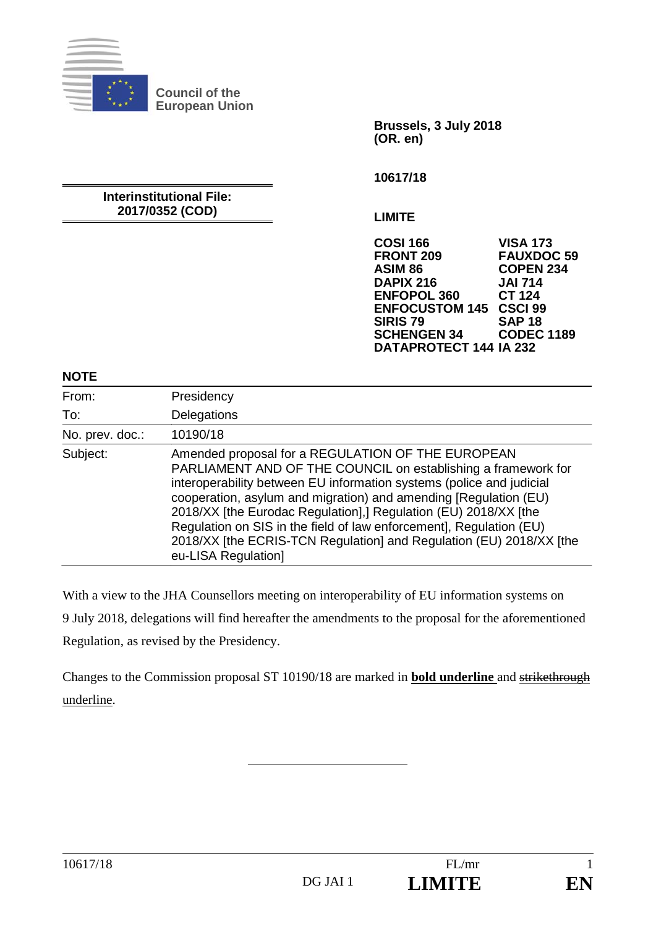

**Council of the European Union** 

> **Brussels, 3 July 2018 (OR. en)**

**10617/18** 

**Interinstitutional File: 2017/0352 (COD)** 

**LIMITE** 

**COSI 166 VISA 173 FRONT 209 FAUXDOC 59 ASIM 86 COPEN 234 DAPIX 216 JAI 714 ENFOPOL 360 ENFOCUSTOM 145 CSCI 99 SIRIS 79 SAP 18 SCHENGEN 34 DATAPROTECT 144 IA 232** 

#### **NOTE**

| From:           | Presidency                                                                                                                                                                                                                                                                                                                                                                                                                                                                                             |
|-----------------|--------------------------------------------------------------------------------------------------------------------------------------------------------------------------------------------------------------------------------------------------------------------------------------------------------------------------------------------------------------------------------------------------------------------------------------------------------------------------------------------------------|
| To:             | Delegations                                                                                                                                                                                                                                                                                                                                                                                                                                                                                            |
| No. prev. doc.: | 10190/18                                                                                                                                                                                                                                                                                                                                                                                                                                                                                               |
| Subject:        | Amended proposal for a REGULATION OF THE EUROPEAN<br>PARLIAMENT AND OF THE COUNCIL on establishing a framework for<br>interoperability between EU information systems (police and judicial<br>cooperation, asylum and migration) and amending [Regulation (EU)<br>2018/XX [the Eurodac Regulation],] Regulation (EU) 2018/XX [the<br>Regulation on SIS in the field of law enforcement], Regulation (EU)<br>2018/XX [the ECRIS-TCN Regulation] and Regulation (EU) 2018/XX [the<br>eu-LISA Regulation] |

With a view to the JHA Counsellors meeting on interoperability of EU information systems on 9 July 2018, delegations will find hereafter the amendments to the proposal for the aforementioned Regulation, as revised by the Presidency.

Changes to the Commission proposal ST 10190/18 are marked in **bold underline** and strikethrough underline.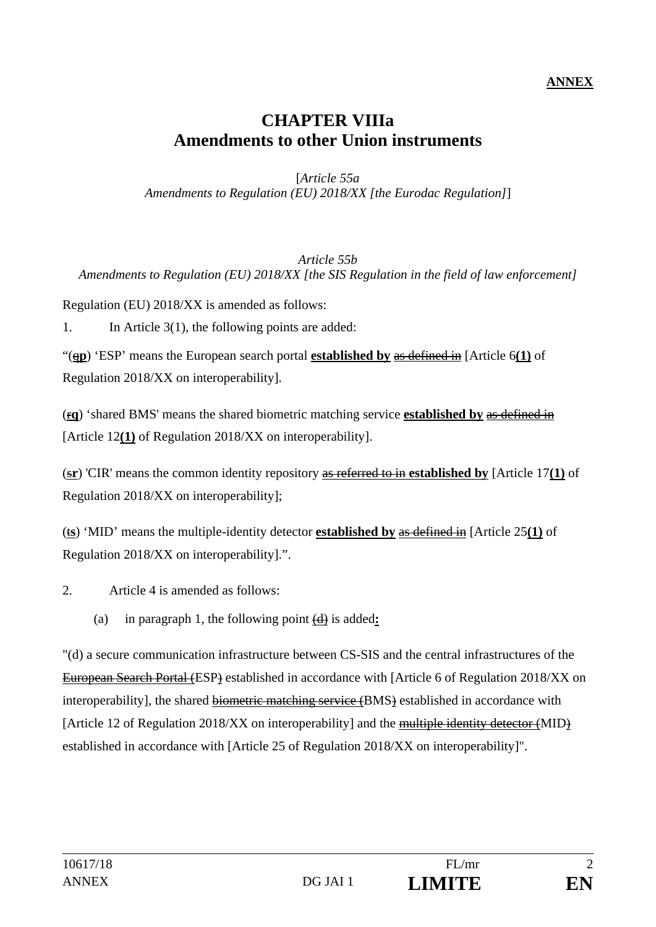#### **ANNEX**

# **CHAPTER VIIIa Amendments to other Union instruments**

[*Article 55a Amendments to Regulation (EU) 2018/XX [the Eurodac Regulation]*]

#### *Article 55b Amendments to Regulation (EU) 2018/XX [the SIS Regulation in the field of law enforcement]*

Regulation (EU) 2018/XX is amended as follows:

1. In Article 3(1), the following points are added:

"(q**p**) 'ESP' means the European search portal **established by** as defined in [Article 6**(1)** of Regulation 2018/XX on interoperability].

(r**q**) 'shared BMS' means the shared biometric matching service **established by** as defined in [Article 12**(1)** of Regulation 2018/XX on interoperability].

(s**r**) 'CIR' means the common identity repository as referred to in **established by** [Article 17**(1)** of Regulation 2018/XX on interoperability];

(t**s**) 'MID' means the multiple-identity detector **established by** as defined in [Article 25**(1)** of Regulation 2018/XX on interoperability].".

2. Article 4 is amended as follows:

(a) in paragraph 1, the following point (d) is added**:** 

"(d) a secure communication infrastructure between CS-SIS and the central infrastructures of the European Search Portal (ESP) established in accordance with [Article 6 of Regulation 2018/XX on interoperability], the shared biometric matching service (BMS) established in accordance with [Article 12 of Regulation 2018/XX on interoperability] and the multiple identity detector (MID) established in accordance with [Article 25 of Regulation 2018/XX on interoperability]".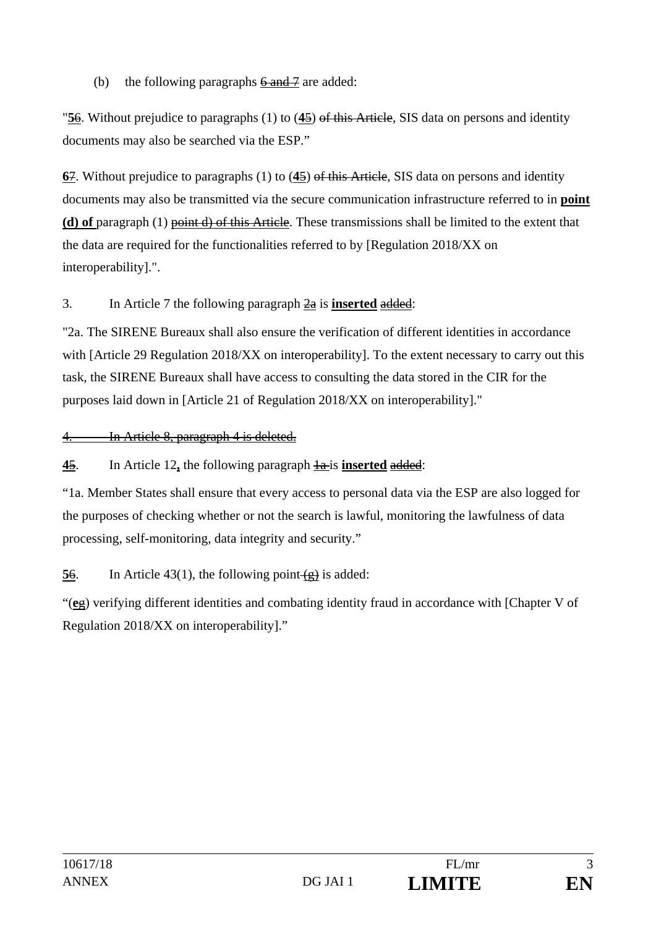### (b) the following paragraphs  $6$  and  $7$  are added:

"**5**6. Without prejudice to paragraphs (1) to (**4**5) of this Article, SIS data on persons and identity documents may also be searched via the ESP."

**6**7. Without prejudice to paragraphs (1) to (**4**5) of this Article, SIS data on persons and identity documents may also be transmitted via the secure communication infrastructure referred to in **point (d) of** paragraph (1) point d) of this Article. These transmissions shall be limited to the extent that the data are required for the functionalities referred to by [Regulation 2018/XX on interoperability].".

### 3. In Article 7 the following paragraph 2a is **inserted** added:

"2a. The SIRENE Bureaux shall also ensure the verification of different identities in accordance with [Article 29 Regulation 2018/XX on interoperability]. To the extent necessary to carry out this task, the SIRENE Bureaux shall have access to consulting the data stored in the CIR for the purposes laid down in [Article 21 of Regulation 2018/XX on interoperability]."

4. In Article 8, paragraph 4 is deleted.

**4**5. In Article 12**,** the following paragraph 1a is **inserted** added:

"1a. Member States shall ensure that every access to personal data via the ESP are also logged for the purposes of checking whether or not the search is lawful, monitoring the lawfulness of data processing, self-monitoring, data integrity and security."

**56.** In Article 43(1), the following point  $\left(\frac{1}{e}\right)$  is added:

"(**e**g) verifying different identities and combating identity fraud in accordance with [Chapter V of Regulation 2018/XX on interoperability]."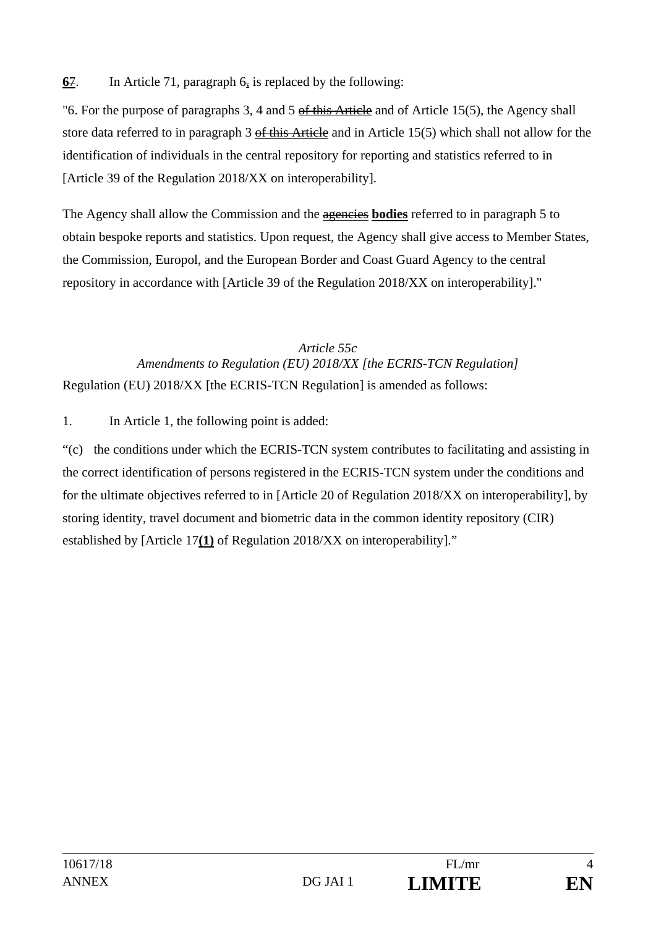**<u>67</u>.** In Article 71, paragraph  $6\frac{1}{2}$  is replaced by the following:

"6. For the purpose of paragraphs 3, 4 and 5 of this Article and of Article 15(5), the Agency shall store data referred to in paragraph 3 of this Article and in Article 15(5) which shall not allow for the identification of individuals in the central repository for reporting and statistics referred to in [Article 39 of the Regulation 2018/XX on interoperability].

The Agency shall allow the Commission and the agencies **bodies** referred to in paragraph 5 to obtain bespoke reports and statistics. Upon request, the Agency shall give access to Member States, the Commission, Europol, and the European Border and Coast Guard Agency to the central repository in accordance with [Article 39 of the Regulation 2018/XX on interoperability]."

### *Article 55c Amendments to Regulation (EU) 2018/XX [the ECRIS-TCN Regulation]*  Regulation (EU) 2018/XX [the ECRIS-TCN Regulation] is amended as follows:

1. In Article 1, the following point is added:

"(c) the conditions under which the ECRIS-TCN system contributes to facilitating and assisting in the correct identification of persons registered in the ECRIS-TCN system under the conditions and for the ultimate objectives referred to in [Article 20 of Regulation 2018/XX on interoperability], by storing identity, travel document and biometric data in the common identity repository (CIR) established by [Article 17**(1)** of Regulation 2018/XX on interoperability]."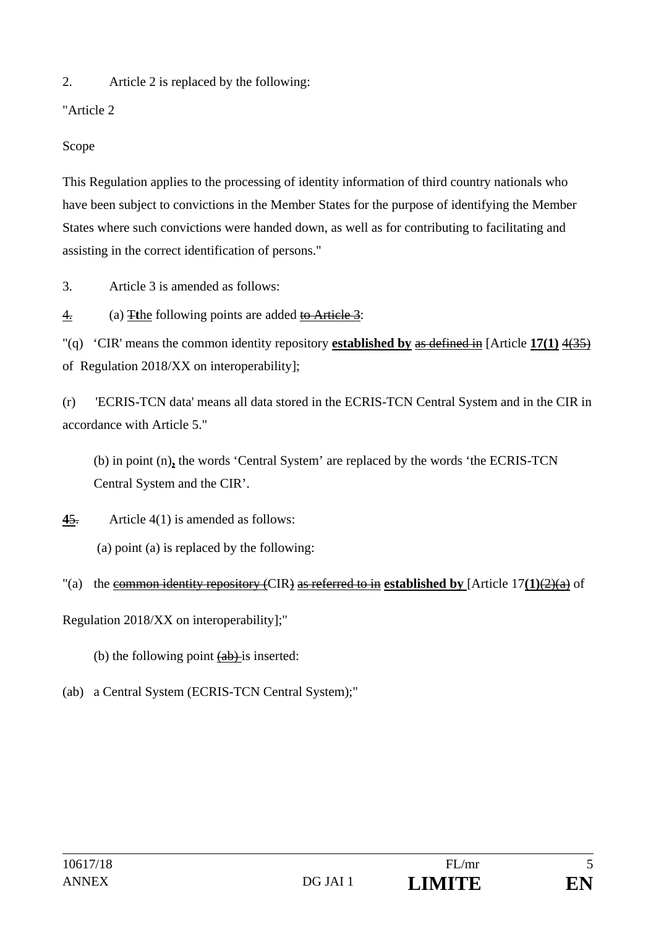2. Article 2 is replaced by the following:

"Article 2

Scope

This Regulation applies to the processing of identity information of third country nationals who have been subject to convictions in the Member States for the purpose of identifying the Member States where such convictions were handed down, as well as for contributing to facilitating and assisting in the correct identification of persons."

3. Article 3 is amended as follows:

4. (a) T**t**he following points are added to Article 3:

"(q) 'CIR' means the common identity repository **established by** as defined in [Article **17(1)** 4(35) of Regulation 2018/XX on interoperability];

(r) 'ECRIS-TCN data' means all data stored in the ECRIS-TCN Central System and in the CIR in accordance with Article 5."

(b) in point (n)**,** the words 'Central System' are replaced by the words 'the ECRIS-TCN Central System and the CIR'.

**4**5. Article 4(1) is amended as follows:

(a) point (a) is replaced by the following:

"(a) the common identity repository (CIR) as referred to in **established by** [Article 17**(1)**(2)(a) of

Regulation 2018/XX on interoperability];"

(b) the following point  $(a\bar{b})$  is inserted:

(ab) a Central System (ECRIS-TCN Central System);"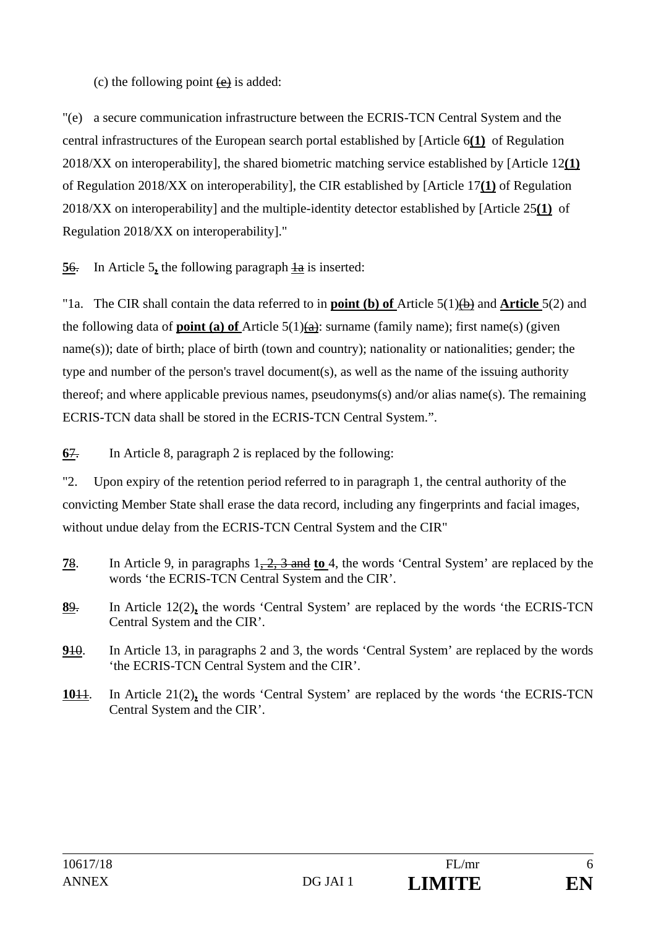### (c) the following point  $(e)$  is added:

"(e) a secure communication infrastructure between the ECRIS-TCN Central System and the central infrastructures of the European search portal established by [Article 6**(1)** of Regulation 2018/XX on interoperability], the shared biometric matching service established by [Article 12**(1)** of Regulation 2018/XX on interoperability], the CIR established by [Article 17**(1)** of Regulation 2018/XX on interoperability] and the multiple-identity detector established by [Article 25**(1)** of Regulation 2018/XX on interoperability]."

**56.** In Article 5, the following paragraph  $\frac{1}{4}$  is inserted:

"1a. The CIR shall contain the data referred to in **point (b) of** Article 5(1)(b) and **Article** 5(2) and the following data of **point (a) of** Article 5(1)(a): surname (family name); first name(s) (given name(s)); date of birth; place of birth (town and country); nationality or nationalities; gender; the type and number of the person's travel document(s), as well as the name of the issuing authority thereof; and where applicable previous names, pseudonyms(s) and/or alias name(s). The remaining ECRIS-TCN data shall be stored in the ECRIS-TCN Central System.".

**6**7. In Article 8, paragraph 2 is replaced by the following:

"2. Upon expiry of the retention period referred to in paragraph 1, the central authority of the convicting Member State shall erase the data record, including any fingerprints and facial images, without undue delay from the ECRIS-TCN Central System and the CIR"

- **7**8. In Article 9, in paragraphs 1, 2, 3 and **to** 4, the words 'Central System' are replaced by the words 'the ECRIS-TCN Central System and the CIR'.
- **8**9. In Article 12(2)**,** the words 'Central System' are replaced by the words 'the ECRIS-TCN Central System and the CIR'.
- **9**10. In Article 13, in paragraphs 2 and 3, the words 'Central System' are replaced by the words 'the ECRIS-TCN Central System and the CIR'.
- **10**11. In Article 21(2)**,** the words 'Central System' are replaced by the words 'the ECRIS-TCN Central System and the CIR'.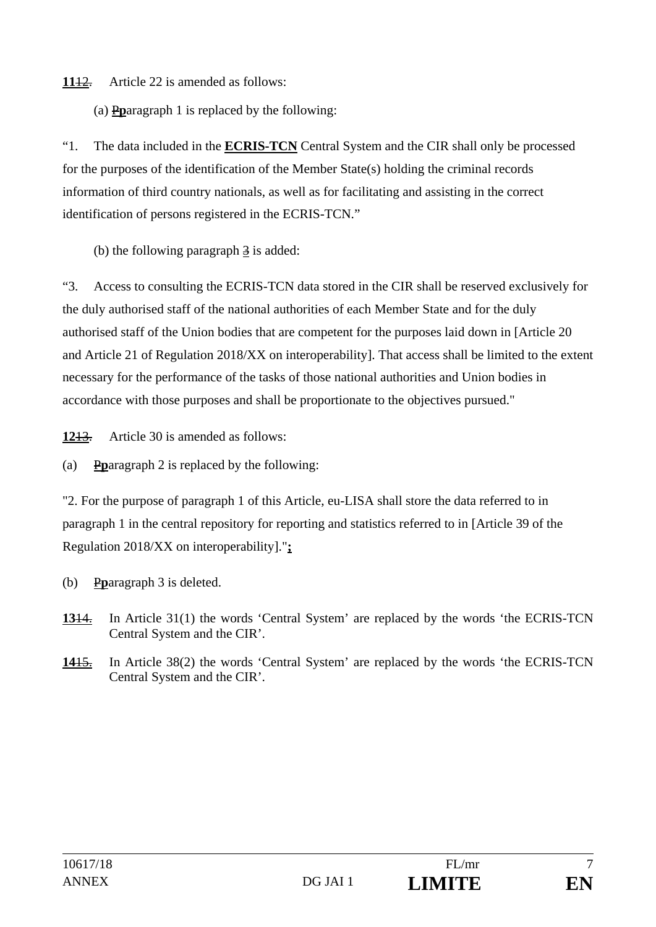**11**12. Article 22 is amended as follows:

(a) P**p**aragraph 1 is replaced by the following:

"1. The data included in the **ECRIS-TCN** Central System and the CIR shall only be processed for the purposes of the identification of the Member State(s) holding the criminal records information of third country nationals, as well as for facilitating and assisting in the correct identification of persons registered in the ECRIS-TCN."

(b) the following paragraph  $\frac{3}{2}$  is added:

"3. Access to consulting the ECRIS-TCN data stored in the CIR shall be reserved exclusively for the duly authorised staff of the national authorities of each Member State and for the duly authorised staff of the Union bodies that are competent for the purposes laid down in [Article 20 and Article 21 of Regulation 2018/XX on interoperability]. That access shall be limited to the extent necessary for the performance of the tasks of those national authorities and Union bodies in accordance with those purposes and shall be proportionate to the objectives pursued."

**12**13. Article 30 is amended as follows:

(a) P**p**aragraph 2 is replaced by the following:

"2. For the purpose of paragraph 1 of this Article, eu-LISA shall store the data referred to in paragraph 1 in the central repository for reporting and statistics referred to in [Article 39 of the Regulation 2018/XX on interoperability]."**;** 

- (b) P**p**aragraph 3 is deleted.
- **13**14. In Article 31(1) the words 'Central System' are replaced by the words 'the ECRIS-TCN Central System and the CIR'.
- **14**15. In Article 38(2) the words 'Central System' are replaced by the words 'the ECRIS-TCN Central System and the CIR'.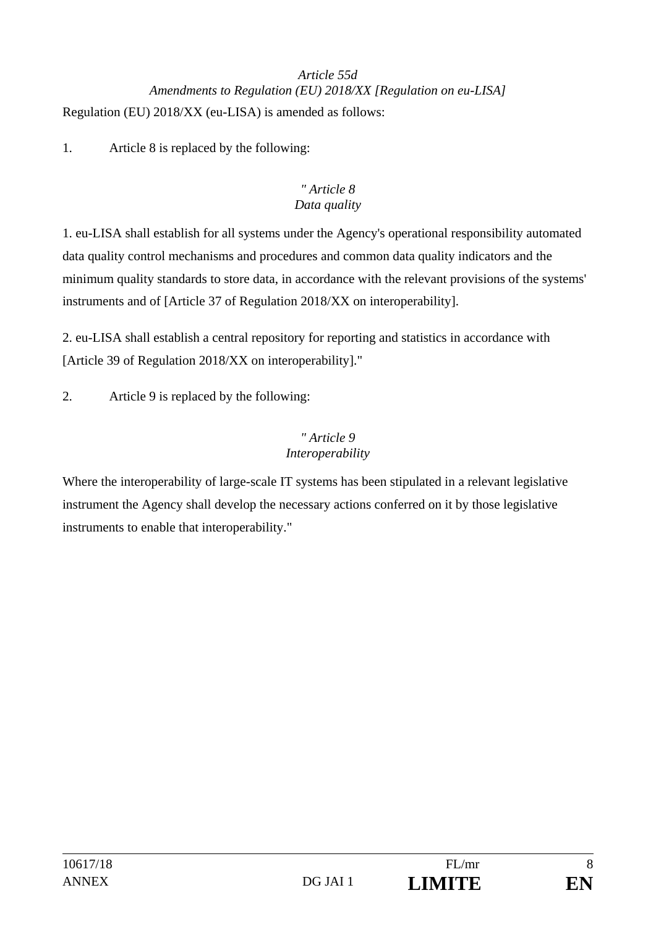## *Article 55d Amendments to Regulation (EU) 2018/XX [Regulation on eu-LISA]*  Regulation (EU) 2018/XX (eu-LISA) is amended as follows:

1. Article 8 is replaced by the following:

### *" Article 8 Data quality*

1. eu-LISA shall establish for all systems under the Agency's operational responsibility automated data quality control mechanisms and procedures and common data quality indicators and the minimum quality standards to store data, in accordance with the relevant provisions of the systems' instruments and of [Article 37 of Regulation 2018/XX on interoperability].

2. eu-LISA shall establish a central repository for reporting and statistics in accordance with [Article 39 of Regulation 2018/XX on interoperability]."

2. Article 9 is replaced by the following:

### *" Article 9 Interoperability*

Where the interoperability of large-scale IT systems has been stipulated in a relevant legislative instrument the Agency shall develop the necessary actions conferred on it by those legislative instruments to enable that interoperability."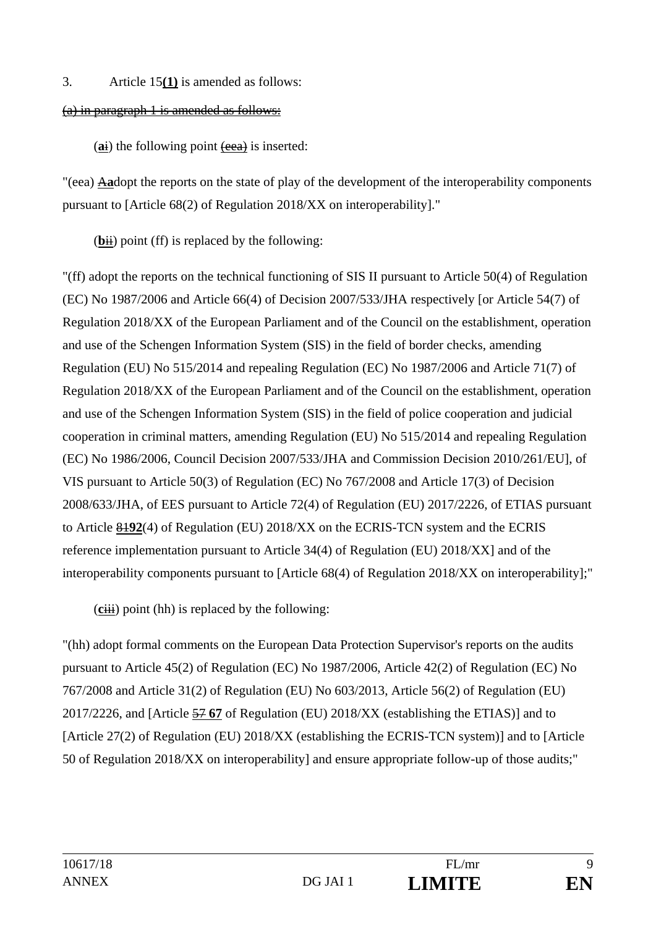#### 3. Article 15**(1)** is amended as follows:

#### (a) in paragraph 1 is amended as follows:

(ai) the following point (eea) is inserted:

"(eea) A**a**dopt the reports on the state of play of the development of the interoperability components pursuant to [Article 68(2) of Regulation 2018/XX on interoperability]."

 $(bii)$  point (ff) is replaced by the following:

"(ff) adopt the reports on the technical functioning of SIS II pursuant to Article 50(4) of Regulation (EC) No 1987/2006 and Article 66(4) of Decision 2007/533/JHA respectively [or Article 54(7) of Regulation 2018/XX of the European Parliament and of the Council on the establishment, operation and use of the Schengen Information System (SIS) in the field of border checks, amending Regulation (EU) No 515/2014 and repealing Regulation (EC) No 1987/2006 and Article 71(7) of Regulation 2018/XX of the European Parliament and of the Council on the establishment, operation and use of the Schengen Information System (SIS) in the field of police cooperation and judicial cooperation in criminal matters, amending Regulation (EU) No 515/2014 and repealing Regulation (EC) No 1986/2006, Council Decision 2007/533/JHA and Commission Decision 2010/261/EU], of VIS pursuant to Article 50(3) of Regulation (EC) No 767/2008 and Article 17(3) of Decision 2008/633/JHA, of EES pursuant to Article 72(4) of Regulation (EU) 2017/2226, of ETIAS pursuant to Article 81**92**(4) of Regulation (EU) 2018/XX on the ECRIS-TCN system and the ECRIS reference implementation pursuant to Article 34(4) of Regulation (EU) 2018/XX] and of the interoperability components pursuant to [Article 68(4) of Regulation 2018/XX on interoperability];"

(**c**iii) point (hh) is replaced by the following:

"(hh) adopt formal comments on the European Data Protection Supervisor's reports on the audits pursuant to Article 45(2) of Regulation (EC) No 1987/2006, Article 42(2) of Regulation (EC) No 767/2008 and Article 31(2) of Regulation (EU) No 603/2013, Article 56(2) of Regulation (EU) 2017/2226, and [Article 57 **67** of Regulation (EU) 2018/XX (establishing the ETIAS)] and to [Article 27(2) of Regulation (EU) 2018/XX (establishing the ECRIS-TCN system)] and to [Article 50 of Regulation 2018/XX on interoperability] and ensure appropriate follow-up of those audits;"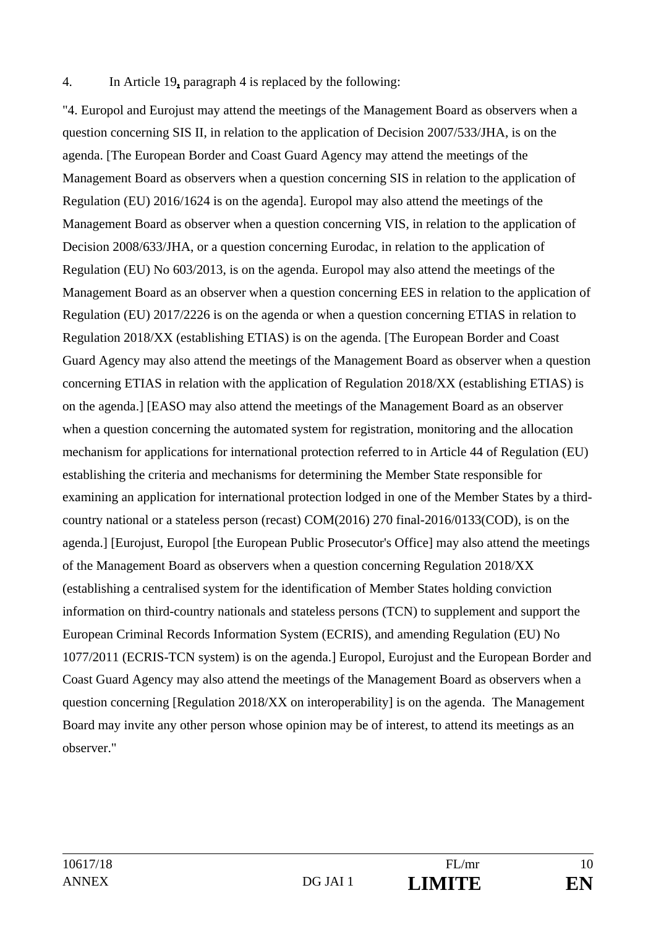#### 4. In Article 19**,** paragraph 4 is replaced by the following:

"4. Europol and Eurojust may attend the meetings of the Management Board as observers when a question concerning SIS II, in relation to the application of Decision 2007/533/JHA, is on the agenda. [The European Border and Coast Guard Agency may attend the meetings of the Management Board as observers when a question concerning SIS in relation to the application of Regulation (EU) 2016/1624 is on the agenda]. Europol may also attend the meetings of the Management Board as observer when a question concerning VIS, in relation to the application of Decision 2008/633/JHA, or a question concerning Eurodac, in relation to the application of Regulation (EU) No 603/2013, is on the agenda. Europol may also attend the meetings of the Management Board as an observer when a question concerning EES in relation to the application of Regulation (EU) 2017/2226 is on the agenda or when a question concerning ETIAS in relation to Regulation 2018/XX (establishing ETIAS) is on the agenda. [The European Border and Coast Guard Agency may also attend the meetings of the Management Board as observer when a question concerning ETIAS in relation with the application of Regulation 2018/XX (establishing ETIAS) is on the agenda.] [EASO may also attend the meetings of the Management Board as an observer when a question concerning the automated system for registration, monitoring and the allocation mechanism for applications for international protection referred to in Article 44 of Regulation (EU) establishing the criteria and mechanisms for determining the Member State responsible for examining an application for international protection lodged in one of the Member States by a thirdcountry national or a stateless person (recast) COM(2016) 270 final-2016/0133(COD), is on the agenda.] [Eurojust, Europol [the European Public Prosecutor's Office] may also attend the meetings of the Management Board as observers when a question concerning Regulation 2018/XX (establishing a centralised system for the identification of Member States holding conviction information on third-country nationals and stateless persons (TCN) to supplement and support the European Criminal Records Information System (ECRIS), and amending Regulation (EU) No 1077/2011 (ECRIS-TCN system) is on the agenda.] Europol, Eurojust and the European Border and Coast Guard Agency may also attend the meetings of the Management Board as observers when a question concerning [Regulation 2018/XX on interoperability] is on the agenda. The Management Board may invite any other person whose opinion may be of interest, to attend its meetings as an observer."